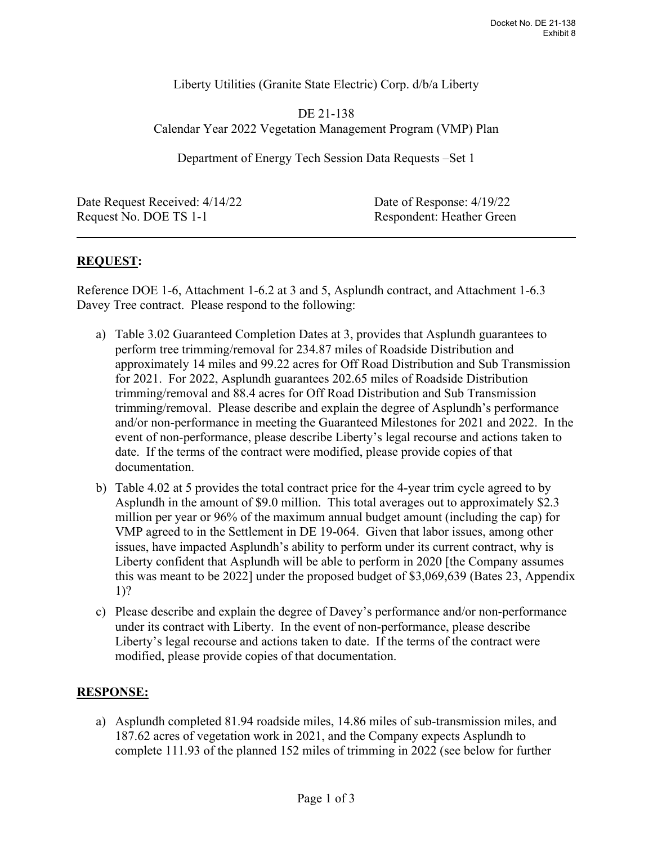Liberty Utilities (Granite State Electric) Corp. d/b/a Liberty

DE 21-138 Calendar Year 2022 Vegetation Management Program (VMP) Plan

Department of Energy Tech Session Data Requests –Set 1

Date Request Received:  $4/14/22$  Date of Response:  $4/19/22$ Request No. DOE TS 1-1 Respondent: Heather Green

 $\overline{a}$ 

## **REQUEST:**

Reference DOE 1-6, Attachment 1-6.2 at 3 and 5, Asplundh contract, and Attachment 1-6.3 Davey Tree contract. Please respond to the following:

- a) Table 3.02 Guaranteed Completion Dates at 3, provides that Asplundh guarantees to perform tree trimming/removal for 234.87 miles of Roadside Distribution and approximately 14 miles and 99.22 acres for Off Road Distribution and Sub Transmission for 2021. For 2022, Asplundh guarantees 202.65 miles of Roadside Distribution trimming/removal and 88.4 acres for Off Road Distribution and Sub Transmission trimming/removal. Please describe and explain the degree of Asplundh's performance and/or non-performance in meeting the Guaranteed Milestones for 2021 and 2022. In the event of non-performance, please describe Liberty's legal recourse and actions taken to date. If the terms of the contract were modified, please provide copies of that documentation.
- b) Table 4.02 at 5 provides the total contract price for the 4-year trim cycle agreed to by Asplundh in the amount of \$9.0 million. This total averages out to approximately \$2.3 million per year or 96% of the maximum annual budget amount (including the cap) for VMP agreed to in the Settlement in DE 19-064. Given that labor issues, among other issues, have impacted Asplundh's ability to perform under its current contract, why is Liberty confident that Asplundh will be able to perform in 2020 [the Company assumes this was meant to be 2022] under the proposed budget of \$3,069,639 (Bates 23, Appendix 1)?
- c) Please describe and explain the degree of Davey's performance and/or non-performance under its contract with Liberty. In the event of non-performance, please describe Liberty's legal recourse and actions taken to date. If the terms of the contract were modified, please provide copies of that documentation.

## **RESPONSE:**

a) Asplundh completed 81.94 roadside miles, 14.86 miles of sub-transmission miles, and 187.62 acres of vegetation work in 2021, and the Company expects Asplundh to complete 111.93 of the planned 152 miles of trimming in 2022 (see below for further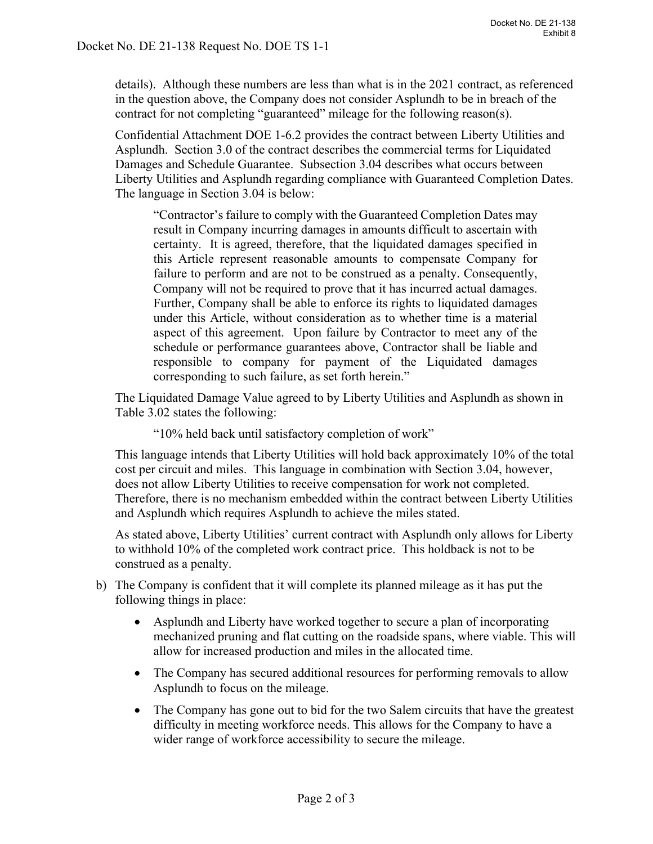details). Although these numbers are less than what is in the 2021 contract, as referenced in the question above, the Company does not consider Asplundh to be in breach of the contract for not completing "guaranteed" mileage for the following reason(s).

Confidential Attachment DOE 1-6.2 provides the contract between Liberty Utilities and Asplundh. Section 3.0 of the contract describes the commercial terms for Liquidated Damages and Schedule Guarantee. Subsection 3.04 describes what occurs between Liberty Utilities and Asplundh regarding compliance with Guaranteed Completion Dates. The language in Section 3.04 is below:

"Contractor's failure to comply with the Guaranteed Completion Dates may result in Company incurring damages in amounts difficult to ascertain with certainty. It is agreed, therefore, that the liquidated damages specified in this Article represent reasonable amounts to compensate Company for failure to perform and are not to be construed as a penalty. Consequently, Company will not be required to prove that it has incurred actual damages. Further, Company shall be able to enforce its rights to liquidated damages under this Article, without consideration as to whether time is a material aspect of this agreement. Upon failure by Contractor to meet any of the schedule or performance guarantees above, Contractor shall be liable and responsible to company for payment of the Liquidated damages corresponding to such failure, as set forth herein."

The Liquidated Damage Value agreed to by Liberty Utilities and Asplundh as shown in Table 3.02 states the following:

"10% held back until satisfactory completion of work"

This language intends that Liberty Utilities will hold back approximately 10% of the total cost per circuit and miles. This language in combination with Section 3.04, however, does not allow Liberty Utilities to receive compensation for work not completed. Therefore, there is no mechanism embedded within the contract between Liberty Utilities and Asplundh which requires Asplundh to achieve the miles stated.

As stated above, Liberty Utilities' current contract with Asplundh only allows for Liberty to withhold 10% of the completed work contract price. This holdback is not to be construed as a penalty.

- b) The Company is confident that it will complete its planned mileage as it has put the following things in place:
	- Asplundh and Liberty have worked together to secure a plan of incorporating mechanized pruning and flat cutting on the roadside spans, where viable. This will allow for increased production and miles in the allocated time.
	- The Company has secured additional resources for performing removals to allow Asplundh to focus on the mileage.
	- The Company has gone out to bid for the two Salem circuits that have the greatest difficulty in meeting workforce needs. This allows for the Company to have a wider range of workforce accessibility to secure the mileage.